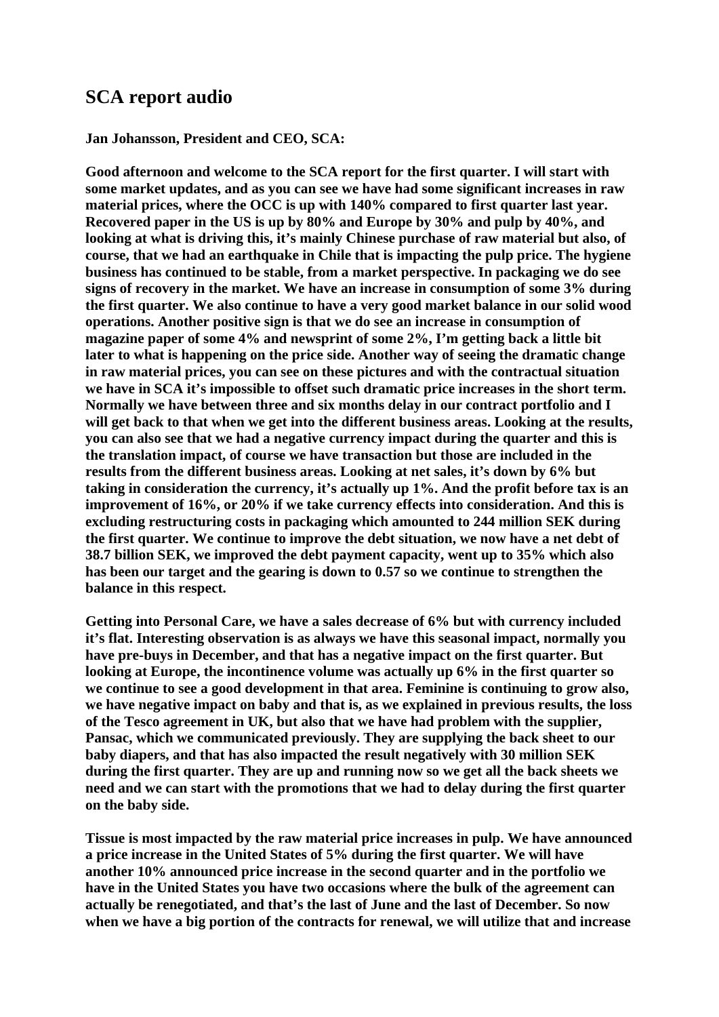# **SCA report audio**

#### **Jan Johansson, President and CEO, SCA:**

**Good afternoon and welcome to the SCA report for the first quarter. I will start with some market updates, and as you can see we have had some significant increases in raw material prices, where the OCC is up with 140% compared to first quarter last year. Recovered paper in the US is up by 80% and Europe by 30% and pulp by 40%, and looking at what is driving this, it's mainly Chinese purchase of raw material but also, of course, that we had an earthquake in Chile that is impacting the pulp price. The hygiene business has continued to be stable, from a market perspective. In packaging we do see signs of recovery in the market. We have an increase in consumption of some 3% during the first quarter. We also continue to have a very good market balance in our solid wood operations. Another positive sign is that we do see an increase in consumption of magazine paper of some 4% and newsprint of some 2%, I'm getting back a little bit later to what is happening on the price side. Another way of seeing the dramatic change in raw material prices, you can see on these pictures and with the contractual situation we have in SCA it's impossible to offset such dramatic price increases in the short term. Normally we have between three and six months delay in our contract portfolio and I will get back to that when we get into the different business areas. Looking at the results, you can also see that we had a negative currency impact during the quarter and this is the translation impact, of course we have transaction but those are included in the results from the different business areas. Looking at net sales, it's down by 6% but taking in consideration the currency, it's actually up 1%. And the profit before tax is an improvement of 16%, or 20% if we take currency effects into consideration. And this is excluding restructuring costs in packaging which amounted to 244 million SEK during the first quarter. We continue to improve the debt situation, we now have a net debt of 38.7 billion SEK, we improved the debt payment capacity, went up to 35% which also has been our target and the gearing is down to 0.57 so we continue to strengthen the balance in this respect.** 

**Getting into Personal Care, we have a sales decrease of 6% but with currency included it's flat. Interesting observation is as always we have this seasonal impact, normally you have pre-buys in December, and that has a negative impact on the first quarter. But looking at Europe, the incontinence volume was actually up 6% in the first quarter so we continue to see a good development in that area. Feminine is continuing to grow also, we have negative impact on baby and that is, as we explained in previous results, the loss of the Tesco agreement in UK, but also that we have had problem with the supplier, Pansac, which we communicated previously. They are supplying the back sheet to our baby diapers, and that has also impacted the result negatively with 30 million SEK during the first quarter. They are up and running now so we get all the back sheets we need and we can start with the promotions that we had to delay during the first quarter on the baby side.** 

**Tissue is most impacted by the raw material price increases in pulp. We have announced a price increase in the United States of 5% during the first quarter. We will have another 10% announced price increase in the second quarter and in the portfolio we have in the United States you have two occasions where the bulk of the agreement can actually be renegotiated, and that's the last of June and the last of December. So now when we have a big portion of the contracts for renewal, we will utilize that and increase**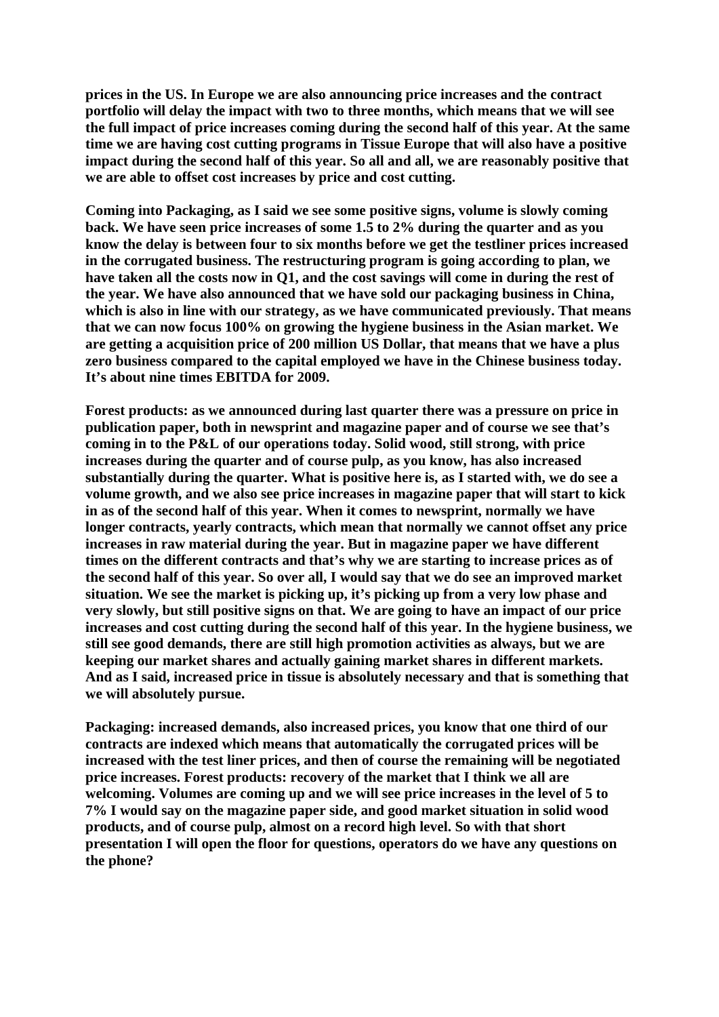**prices in the US. In Europe we are also announcing price increases and the contract portfolio will delay the impact with two to three months, which means that we will see the full impact of price increases coming during the second half of this year. At the same time we are having cost cutting programs in Tissue Europe that will also have a positive impact during the second half of this year. So all and all, we are reasonably positive that we are able to offset cost increases by price and cost cutting.** 

**Coming into Packaging, as I said we see some positive signs, volume is slowly coming back. We have seen price increases of some 1.5 to 2% during the quarter and as you know the delay is between four to six months before we get the testliner prices increased in the corrugated business. The restructuring program is going according to plan, we have taken all the costs now in Q1, and the cost savings will come in during the rest of the year. We have also announced that we have sold our packaging business in China, which is also in line with our strategy, as we have communicated previously. That means that we can now focus 100% on growing the hygiene business in the Asian market. We are getting a acquisition price of 200 million US Dollar, that means that we have a plus zero business compared to the capital employed we have in the Chinese business today. It's about nine times EBITDA for 2009.** 

**Forest products: as we announced during last quarter there was a pressure on price in publication paper, both in newsprint and magazine paper and of course we see that's coming in to the P&L of our operations today. Solid wood, still strong, with price increases during the quarter and of course pulp, as you know, has also increased substantially during the quarter. What is positive here is, as I started with, we do see a volume growth, and we also see price increases in magazine paper that will start to kick in as of the second half of this year. When it comes to newsprint, normally we have longer contracts, yearly contracts, which mean that normally we cannot offset any price increases in raw material during the year. But in magazine paper we have different times on the different contracts and that's why we are starting to increase prices as of the second half of this year. So over all, I would say that we do see an improved market situation. We see the market is picking up, it's picking up from a very low phase and very slowly, but still positive signs on that. We are going to have an impact of our price increases and cost cutting during the second half of this year. In the hygiene business, we still see good demands, there are still high promotion activities as always, but we are keeping our market shares and actually gaining market shares in different markets. And as I said, increased price in tissue is absolutely necessary and that is something that we will absolutely pursue.** 

**Packaging: increased demands, also increased prices, you know that one third of our contracts are indexed which means that automatically the corrugated prices will be increased with the test liner prices, and then of course the remaining will be negotiated price increases. Forest products: recovery of the market that I think we all are welcoming. Volumes are coming up and we will see price increases in the level of 5 to 7% I would say on the magazine paper side, and good market situation in solid wood products, and of course pulp, almost on a record high level. So with that short presentation I will open the floor for questions, operators do we have any questions on the phone?**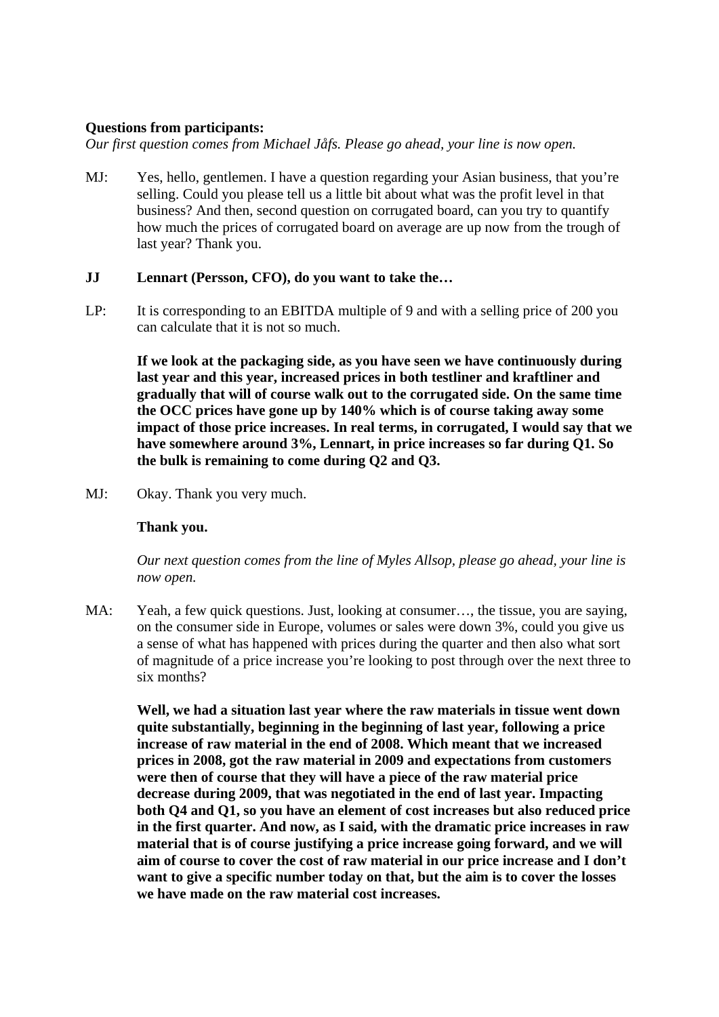### **Questions from participants:**

*Our first question comes from Michael Jåfs. Please go ahead, your line is now open.* 

MJ: Yes, hello, gentlemen. I have a question regarding your Asian business, that you're selling. Could you please tell us a little bit about what was the profit level in that business? And then, second question on corrugated board, can you try to quantify how much the prices of corrugated board on average are up now from the trough of last year? Thank you.

### **JJ Lennart (Persson, CFO), do you want to take the…**

LP: It is corresponding to an EBITDA multiple of 9 and with a selling price of 200 you can calculate that it is not so much.

**If we look at the packaging side, as you have seen we have continuously during last year and this year, increased prices in both testliner and kraftliner and gradually that will of course walk out to the corrugated side. On the same time the OCC prices have gone up by 140% which is of course taking away some impact of those price increases. In real terms, in corrugated, I would say that we have somewhere around 3%, Lennart, in price increases so far during Q1. So the bulk is remaining to come during Q2 and Q3.** 

MJ: Okay. Thank you very much.

### **Thank you.**

*Our next question comes from the line of Myles Allsop, please go ahead, your line is now open.* 

MA: Yeah, a few quick questions. Just, looking at consumer..., the tissue, you are saying, on the consumer side in Europe, volumes or sales were down 3%, could you give us a sense of what has happened with prices during the quarter and then also what sort of magnitude of a price increase you're looking to post through over the next three to six months?

**Well, we had a situation last year where the raw materials in tissue went down quite substantially, beginning in the beginning of last year, following a price increase of raw material in the end of 2008. Which meant that we increased prices in 2008, got the raw material in 2009 and expectations from customers were then of course that they will have a piece of the raw material price decrease during 2009, that was negotiated in the end of last year. Impacting both Q4 and Q1, so you have an element of cost increases but also reduced price in the first quarter. And now, as I said, with the dramatic price increases in raw material that is of course justifying a price increase going forward, and we will aim of course to cover the cost of raw material in our price increase and I don't want to give a specific number today on that, but the aim is to cover the losses we have made on the raw material cost increases.**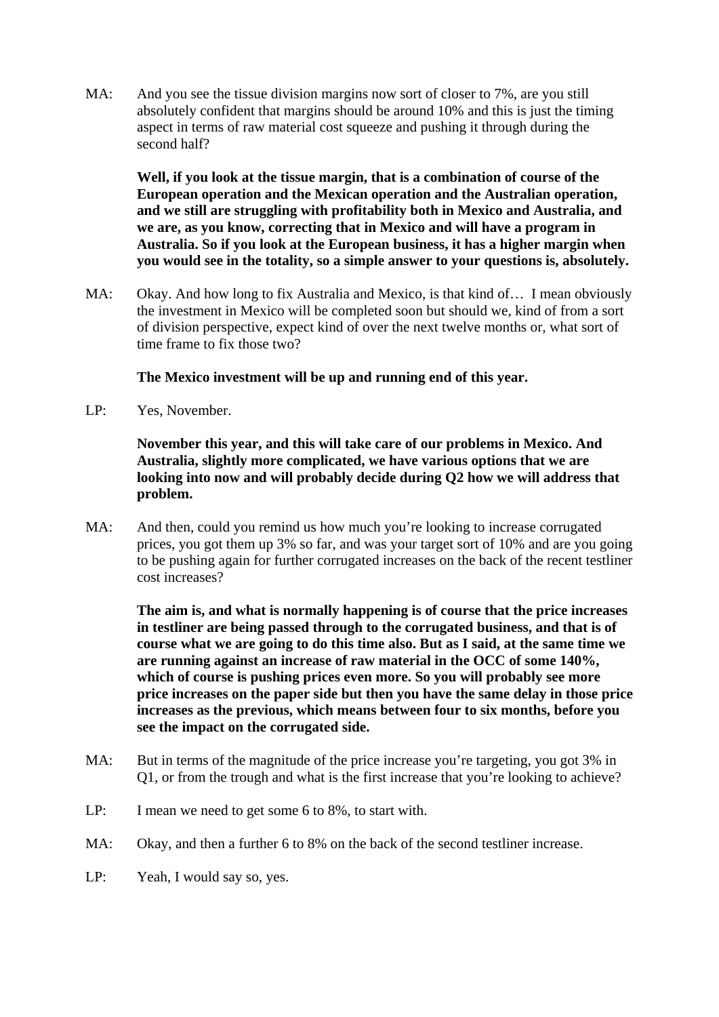MA: And you see the tissue division margins now sort of closer to 7%, are you still absolutely confident that margins should be around 10% and this is just the timing aspect in terms of raw material cost squeeze and pushing it through during the second half?

**Well, if you look at the tissue margin, that is a combination of course of the European operation and the Mexican operation and the Australian operation, and we still are struggling with profitability both in Mexico and Australia, and we are, as you know, correcting that in Mexico and will have a program in Australia. So if you look at the European business, it has a higher margin when you would see in the totality, so a simple answer to your questions is, absolutely.** 

MA: Okay. And how long to fix Australia and Mexico, is that kind of… I mean obviously the investment in Mexico will be completed soon but should we, kind of from a sort of division perspective, expect kind of over the next twelve months or, what sort of time frame to fix those two?

# **The Mexico investment will be up and running end of this year.**

LP: Yes, November.

 **November this year, and this will take care of our problems in Mexico. And Australia, slightly more complicated, we have various options that we are looking into now and will probably decide during Q2 how we will address that problem.** 

MA: And then, could you remind us how much you're looking to increase corrugated prices, you got them up 3% so far, and was your target sort of 10% and are you going to be pushing again for further corrugated increases on the back of the recent testliner cost increases?

**The aim is, and what is normally happening is of course that the price increases in testliner are being passed through to the corrugated business, and that is of course what we are going to do this time also. But as I said, at the same time we are running against an increase of raw material in the OCC of some 140%, which of course is pushing prices even more. So you will probably see more price increases on the paper side but then you have the same delay in those price increases as the previous, which means between four to six months, before you see the impact on the corrugated side.** 

- MA: But in terms of the magnitude of the price increase you're targeting, you got 3% in Q1, or from the trough and what is the first increase that you're looking to achieve?
- LP: I mean we need to get some 6 to 8%, to start with.
- MA: Okay, and then a further 6 to 8% on the back of the second testliner increase.
- LP: Yeah, I would say so, yes.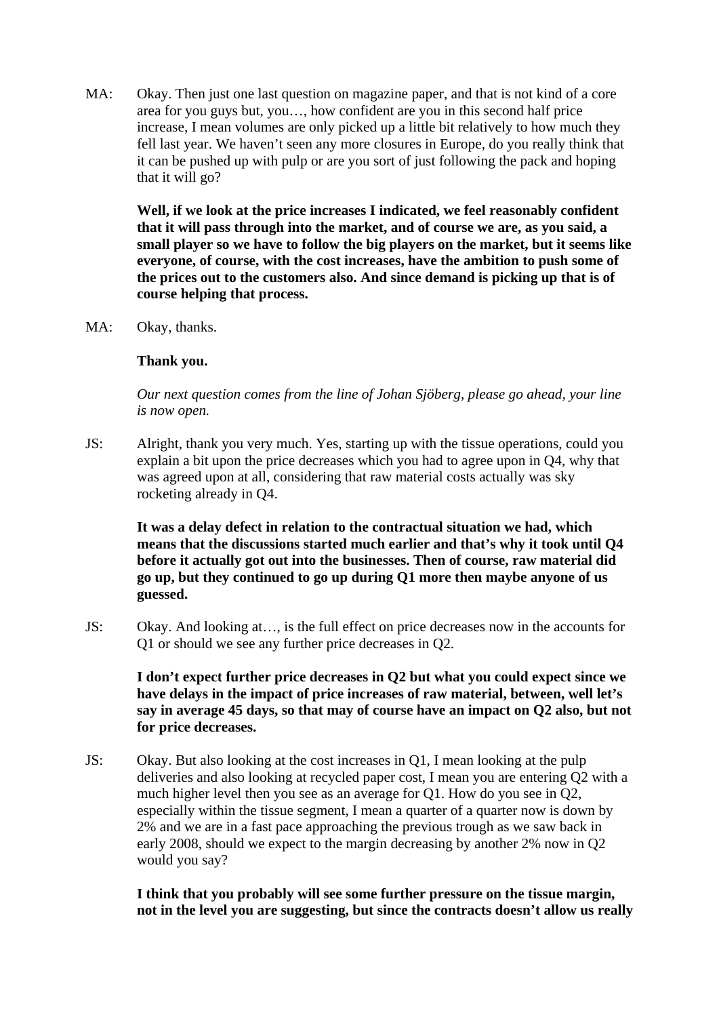MA: Okay. Then just one last question on magazine paper, and that is not kind of a core area for you guys but, you…, how confident are you in this second half price increase, I mean volumes are only picked up a little bit relatively to how much they fell last year. We haven't seen any more closures in Europe, do you really think that it can be pushed up with pulp or are you sort of just following the pack and hoping that it will go?

**Well, if we look at the price increases I indicated, we feel reasonably confident that it will pass through into the market, and of course we are, as you said, a small player so we have to follow the big players on the market, but it seems like everyone, of course, with the cost increases, have the ambition to push some of the prices out to the customers also. And since demand is picking up that is of course helping that process.** 

MA: Okay, thanks.

### **Thank you.**

 *Our next question comes from the line of Johan Sjöberg, please go ahead, your line is now open.* 

JS: Alright, thank you very much. Yes, starting up with the tissue operations, could you explain a bit upon the price decreases which you had to agree upon in Q4, why that was agreed upon at all, considering that raw material costs actually was sky rocketing already in Q4.

**It was a delay defect in relation to the contractual situation we had, which means that the discussions started much earlier and that's why it took until Q4 before it actually got out into the businesses. Then of course, raw material did go up, but they continued to go up during Q1 more then maybe anyone of us guessed.** 

JS: Okay. And looking at…, is the full effect on price decreases now in the accounts for Q1 or should we see any further price decreases in Q2.

**I don't expect further price decreases in Q2 but what you could expect since we have delays in the impact of price increases of raw material, between, well let's say in average 45 days, so that may of course have an impact on Q2 also, but not for price decreases.** 

JS: Okay. But also looking at the cost increases in Q1, I mean looking at the pulp deliveries and also looking at recycled paper cost, I mean you are entering Q2 with a much higher level then you see as an average for Q1. How do you see in Q2, especially within the tissue segment, I mean a quarter of a quarter now is down by 2% and we are in a fast pace approaching the previous trough as we saw back in early 2008, should we expect to the margin decreasing by another 2% now in Q2 would you say?

**I think that you probably will see some further pressure on the tissue margin, not in the level you are suggesting, but since the contracts doesn't allow us really**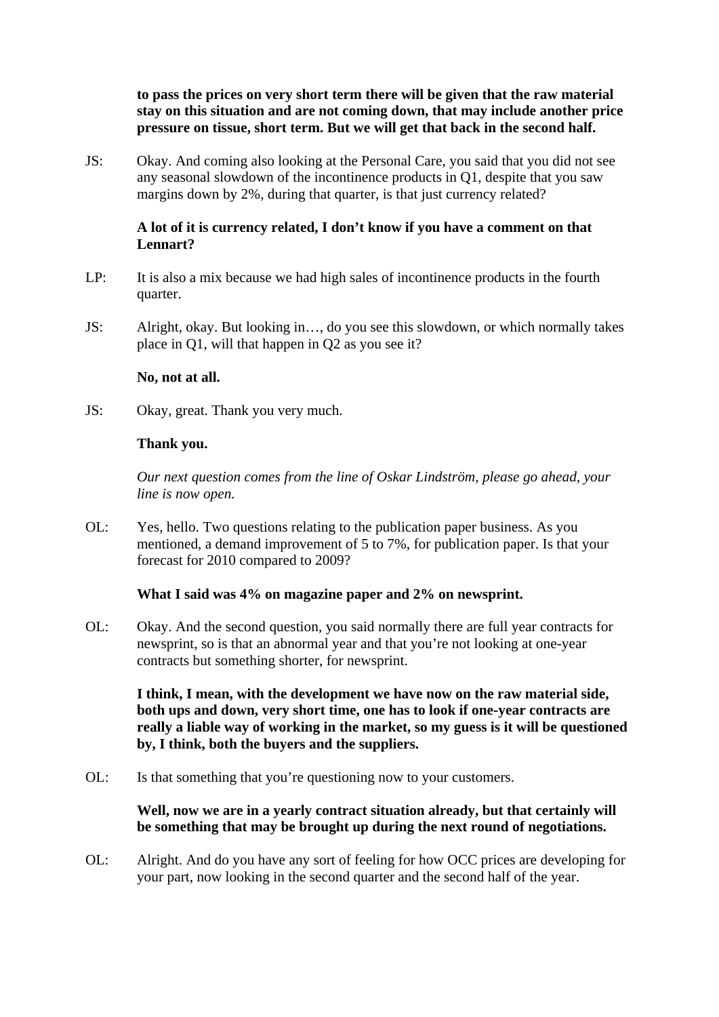**to pass the prices on very short term there will be given that the raw material stay on this situation and are not coming down, that may include another price pressure on tissue, short term. But we will get that back in the second half.** 

JS: Okay. And coming also looking at the Personal Care, you said that you did not see any seasonal slowdown of the incontinence products in Q1, despite that you saw margins down by 2%, during that quarter, is that just currency related?

# **A lot of it is currency related, I don't know if you have a comment on that Lennart?**

- LP: It is also a mix because we had high sales of incontinence products in the fourth quarter.
- JS: Alright, okay. But looking in…, do you see this slowdown, or which normally takes place in Q1, will that happen in Q2 as you see it?

### **No, not at all.**

JS: Okay, great. Thank you very much.

### **Thank you.**

 *Our next question comes from the line of Oskar Lindström, please go ahead, your line is now open.* 

OL: Yes, hello. Two questions relating to the publication paper business. As you mentioned, a demand improvement of 5 to 7%, for publication paper. Is that your forecast for 2010 compared to 2009?

### **What I said was 4% on magazine paper and 2% on newsprint.**

OL: Okay. And the second question, you said normally there are full year contracts for newsprint, so is that an abnormal year and that you're not looking at one-year contracts but something shorter, for newsprint.

 **I think, I mean, with the development we have now on the raw material side, both ups and down, very short time, one has to look if one-year contracts are really a liable way of working in the market, so my guess is it will be questioned by, I think, both the buyers and the suppliers.** 

OL: Is that something that you're questioning now to your customers.

# **Well, now we are in a yearly contract situation already, but that certainly will be something that may be brought up during the next round of negotiations.**

OL: Alright. And do you have any sort of feeling for how OCC prices are developing for your part, now looking in the second quarter and the second half of the year.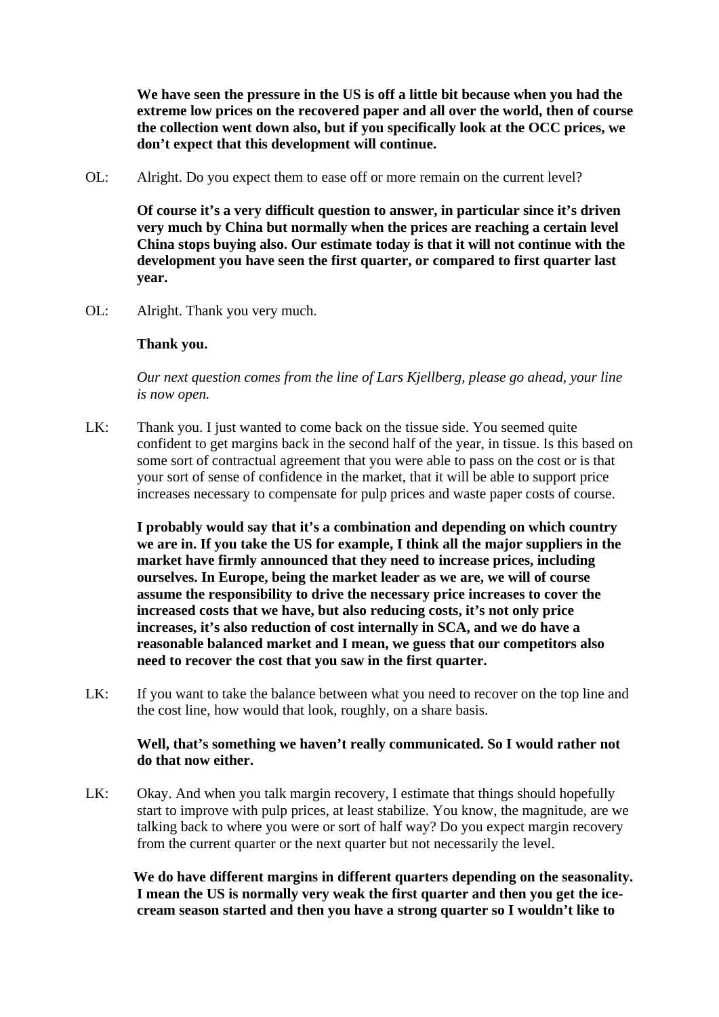**We have seen the pressure in the US is off a little bit because when you had the extreme low prices on the recovered paper and all over the world, then of course the collection went down also, but if you specifically look at the OCC prices, we don't expect that this development will continue.** 

OL: Alright. Do you expect them to ease off or more remain on the current level?

 **Of course it's a very difficult question to answer, in particular since it's driven very much by China but normally when the prices are reaching a certain level China stops buying also. Our estimate today is that it will not continue with the development you have seen the first quarter, or compared to first quarter last year.** 

OL: Alright. Thank you very much.

### **Thank you.**

*Our next question comes from the line of Lars Kjellberg, please go ahead, your line is now open.* 

LK: Thank you. I just wanted to come back on the tissue side. You seemed quite confident to get margins back in the second half of the year, in tissue. Is this based on some sort of contractual agreement that you were able to pass on the cost or is that your sort of sense of confidence in the market, that it will be able to support price increases necessary to compensate for pulp prices and waste paper costs of course.

**I probably would say that it's a combination and depending on which country we are in. If you take the US for example, I think all the major suppliers in the market have firmly announced that they need to increase prices, including ourselves. In Europe, being the market leader as we are, we will of course assume the responsibility to drive the necessary price increases to cover the increased costs that we have, but also reducing costs, it's not only price increases, it's also reduction of cost internally in SCA, and we do have a reasonable balanced market and I mean, we guess that our competitors also need to recover the cost that you saw in the first quarter.** 

LK: If you want to take the balance between what you need to recover on the top line and the cost line, how would that look, roughly, on a share basis.

### **Well, that's something we haven't really communicated. So I would rather not do that now either.**

LK: Okay. And when you talk margin recovery, I estimate that things should hopefully start to improve with pulp prices, at least stabilize. You know, the magnitude, are we talking back to where you were or sort of half way? Do you expect margin recovery from the current quarter or the next quarter but not necessarily the level.

 **We do have different margins in different quarters depending on the seasonality. I mean the US is normally very weak the first quarter and then you get the icecream season started and then you have a strong quarter so I wouldn't like to**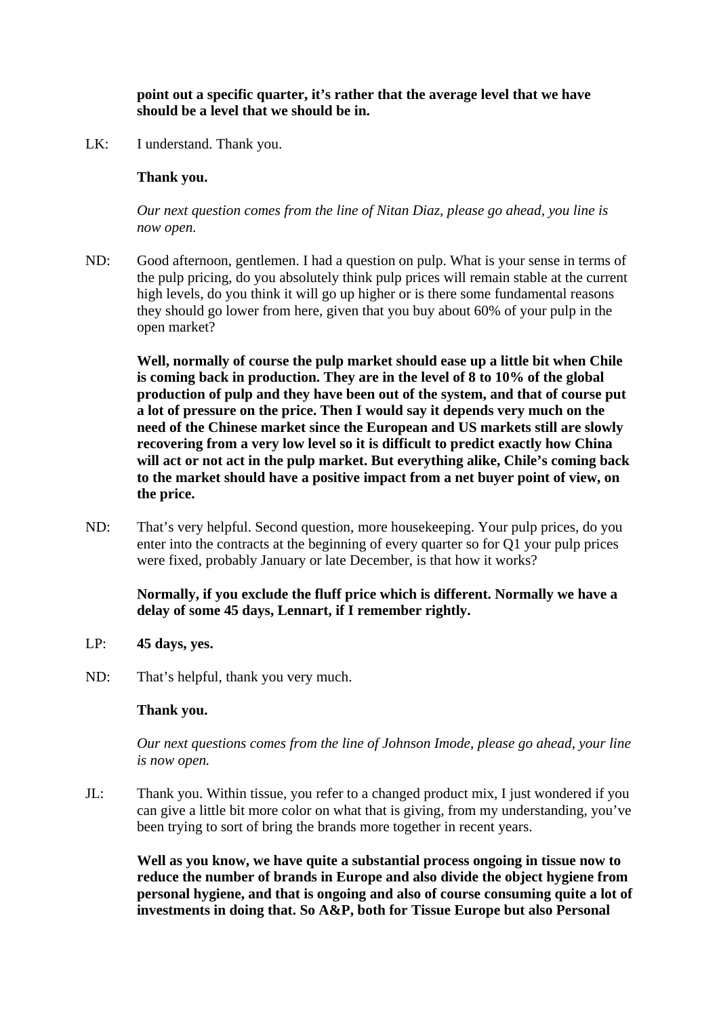## **point out a specific quarter, it's rather that the average level that we have should be a level that we should be in.**

LK: I understand. Thank you.

# **Thank you.**

 *Our next question comes from the line of Nitan Diaz, please go ahead, you line is now open.* 

ND: Good afternoon, gentlemen. I had a question on pulp. What is your sense in terms of the pulp pricing, do you absolutely think pulp prices will remain stable at the current high levels, do you think it will go up higher or is there some fundamental reasons they should go lower from here, given that you buy about 60% of your pulp in the open market?

 **Well, normally of course the pulp market should ease up a little bit when Chile is coming back in production. They are in the level of 8 to 10% of the global production of pulp and they have been out of the system, and that of course put a lot of pressure on the price. Then I would say it depends very much on the need of the Chinese market since the European and US markets still are slowly recovering from a very low level so it is difficult to predict exactly how China will act or not act in the pulp market. But everything alike, Chile's coming back to the market should have a positive impact from a net buyer point of view, on the price.** 

ND: That's very helpful. Second question, more housekeeping. Your pulp prices, do you enter into the contracts at the beginning of every quarter so for Q1 your pulp prices were fixed, probably January or late December, is that how it works?

# **Normally, if you exclude the fluff price which is different. Normally we have a delay of some 45 days, Lennart, if I remember rightly.**

- LP: **45 days, yes.**
- ND: That's helpful, thank you very much.

### **Thank you.**

 *Our next questions comes from the line of Johnson Imode, please go ahead, your line is now open.* 

JL: Thank you. Within tissue, you refer to a changed product mix, I just wondered if you can give a little bit more color on what that is giving, from my understanding, you've been trying to sort of bring the brands more together in recent years.

 **Well as you know, we have quite a substantial process ongoing in tissue now to reduce the number of brands in Europe and also divide the object hygiene from personal hygiene, and that is ongoing and also of course consuming quite a lot of investments in doing that. So A&P, both for Tissue Europe but also Personal**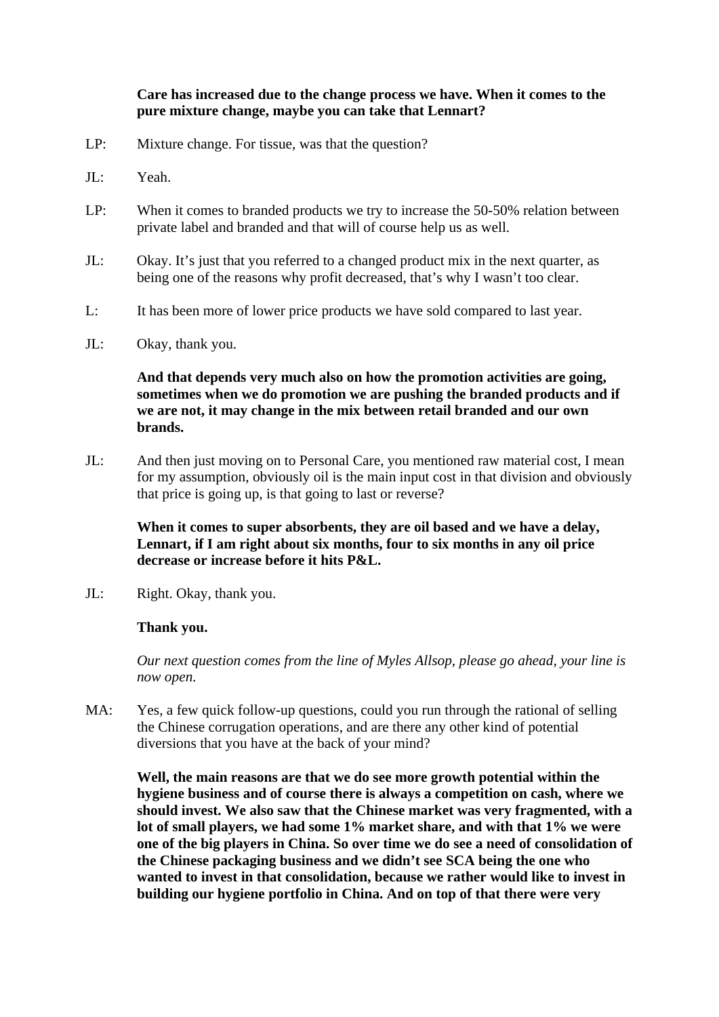# **Care has increased due to the change process we have. When it comes to the pure mixture change, maybe you can take that Lennart?**

- LP: Mixture change. For tissue, was that the question?
- JL: Yeah.
- LP: When it comes to branded products we try to increase the 50-50% relation between private label and branded and that will of course help us as well.
- JL: Okay. It's just that you referred to a changed product mix in the next quarter, as being one of the reasons why profit decreased, that's why I wasn't too clear.
- L: It has been more of lower price products we have sold compared to last year.
- JL: Okay, thank you.

### **And that depends very much also on how the promotion activities are going, sometimes when we do promotion we are pushing the branded products and if we are not, it may change in the mix between retail branded and our own brands.**

JL: And then just moving on to Personal Care, you mentioned raw material cost, I mean for my assumption, obviously oil is the main input cost in that division and obviously that price is going up, is that going to last or reverse?

### **When it comes to super absorbents, they are oil based and we have a delay, Lennart, if I am right about six months, four to six months in any oil price decrease or increase before it hits P&L.**

JL: Right. Okay, thank you.

#### **Thank you.**

*Our next question comes from the line of Myles Allsop, please go ahead, your line is now open.* 

MA: Yes, a few quick follow-up questions, could you run through the rational of selling the Chinese corrugation operations, and are there any other kind of potential diversions that you have at the back of your mind?

**Well, the main reasons are that we do see more growth potential within the hygiene business and of course there is always a competition on cash, where we should invest. We also saw that the Chinese market was very fragmented, with a lot of small players, we had some 1% market share, and with that 1% we were one of the big players in China. So over time we do see a need of consolidation of the Chinese packaging business and we didn't see SCA being the one who wanted to invest in that consolidation, because we rather would like to invest in building our hygiene portfolio in China. And on top of that there were very**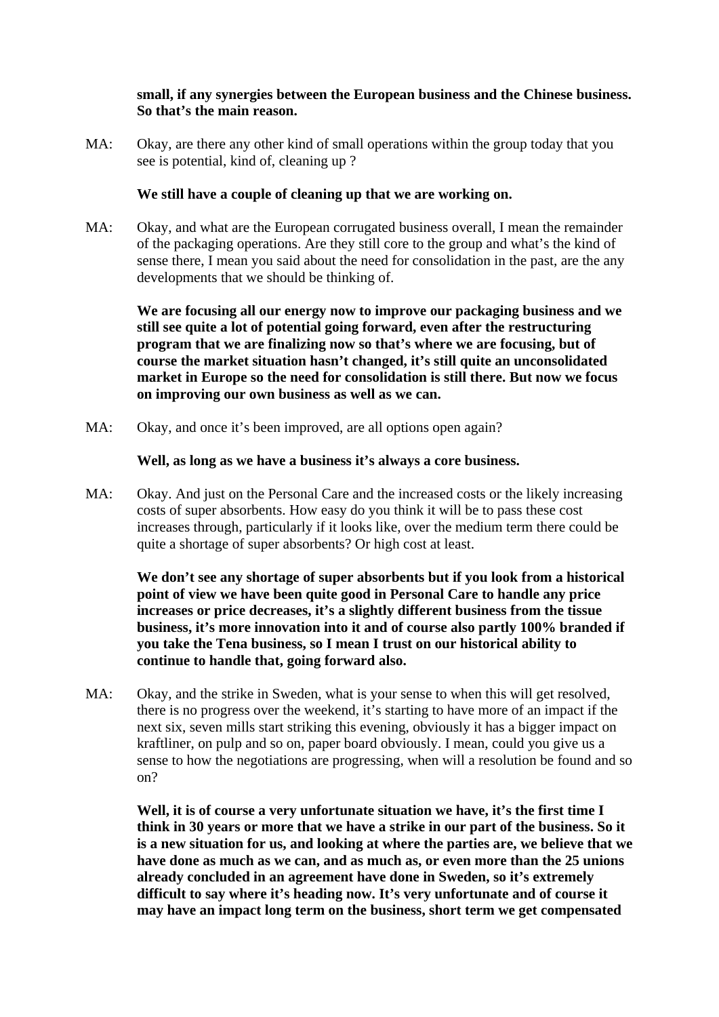# **small, if any synergies between the European business and the Chinese business. So that's the main reason.**

MA: Okay, are there any other kind of small operations within the group today that you see is potential, kind of, cleaning up ?

### **We still have a couple of cleaning up that we are working on.**

MA: Okay, and what are the European corrugated business overall, I mean the remainder of the packaging operations. Are they still core to the group and what's the kind of sense there, I mean you said about the need for consolidation in the past, are the any developments that we should be thinking of.

**We are focusing all our energy now to improve our packaging business and we still see quite a lot of potential going forward, even after the restructuring program that we are finalizing now so that's where we are focusing, but of course the market situation hasn't changed, it's still quite an unconsolidated market in Europe so the need for consolidation is still there. But now we focus on improving our own business as well as we can.** 

MA: Okay, and once it's been improved, are all options open again?

 **Well, as long as we have a business it's always a core business.** 

MA: Okay. And just on the Personal Care and the increased costs or the likely increasing costs of super absorbents. How easy do you think it will be to pass these cost increases through, particularly if it looks like, over the medium term there could be quite a shortage of super absorbents? Or high cost at least.

 **We don't see any shortage of super absorbents but if you look from a historical point of view we have been quite good in Personal Care to handle any price increases or price decreases, it's a slightly different business from the tissue business, it's more innovation into it and of course also partly 100% branded if you take the Tena business, so I mean I trust on our historical ability to continue to handle that, going forward also.** 

MA: Okay, and the strike in Sweden, what is your sense to when this will get resolved, there is no progress over the weekend, it's starting to have more of an impact if the next six, seven mills start striking this evening, obviously it has a bigger impact on kraftliner, on pulp and so on, paper board obviously. I mean, could you give us a sense to how the negotiations are progressing, when will a resolution be found and so on?

**Well, it is of course a very unfortunate situation we have, it's the first time I think in 30 years or more that we have a strike in our part of the business. So it is a new situation for us, and looking at where the parties are, we believe that we have done as much as we can, and as much as, or even more than the 25 unions already concluded in an agreement have done in Sweden, so it's extremely difficult to say where it's heading now. It's very unfortunate and of course it may have an impact long term on the business, short term we get compensated**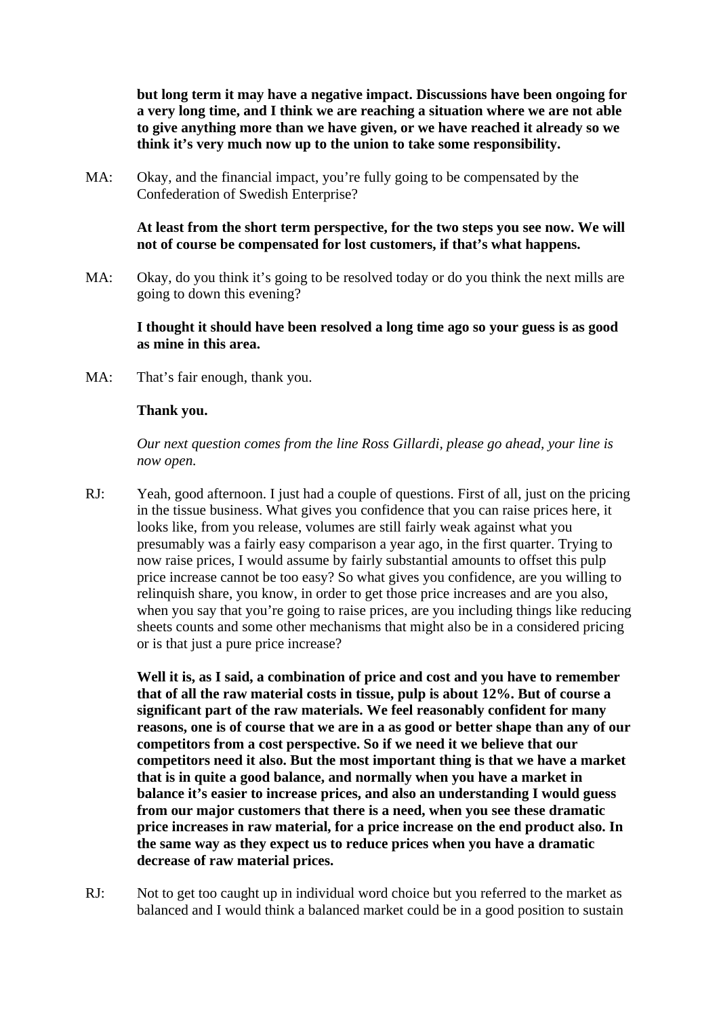**but long term it may have a negative impact. Discussions have been ongoing for a very long time, and I think we are reaching a situation where we are not able to give anything more than we have given, or we have reached it already so we think it's very much now up to the union to take some responsibility.** 

MA: Okay, and the financial impact, you're fully going to be compensated by the Confederation of Swedish Enterprise?

> **At least from the short term perspective, for the two steps you see now. We will not of course be compensated for lost customers, if that's what happens.**

MA: Okay, do you think it's going to be resolved today or do you think the next mills are going to down this evening?

**I thought it should have been resolved a long time ago so your guess is as good as mine in this area.** 

MA: That's fair enough, thank you.

#### **Thank you.**

*Our next question comes from the line Ross Gillardi, please go ahead, your line is now open.* 

RJ: Yeah, good afternoon. I just had a couple of questions. First of all, just on the pricing in the tissue business. What gives you confidence that you can raise prices here, it looks like, from you release, volumes are still fairly weak against what you presumably was a fairly easy comparison a year ago, in the first quarter. Trying to now raise prices, I would assume by fairly substantial amounts to offset this pulp price increase cannot be too easy? So what gives you confidence, are you willing to relinquish share, you know, in order to get those price increases and are you also, when you say that you're going to raise prices, are you including things like reducing sheets counts and some other mechanisms that might also be in a considered pricing or is that just a pure price increase?

 **Well it is, as I said, a combination of price and cost and you have to remember that of all the raw material costs in tissue, pulp is about 12%. But of course a significant part of the raw materials. We feel reasonably confident for many reasons, one is of course that we are in a as good or better shape than any of our competitors from a cost perspective. So if we need it we believe that our competitors need it also. But the most important thing is that we have a market that is in quite a good balance, and normally when you have a market in balance it's easier to increase prices, and also an understanding I would guess from our major customers that there is a need, when you see these dramatic price increases in raw material, for a price increase on the end product also. In the same way as they expect us to reduce prices when you have a dramatic decrease of raw material prices.** 

RJ: Not to get too caught up in individual word choice but you referred to the market as balanced and I would think a balanced market could be in a good position to sustain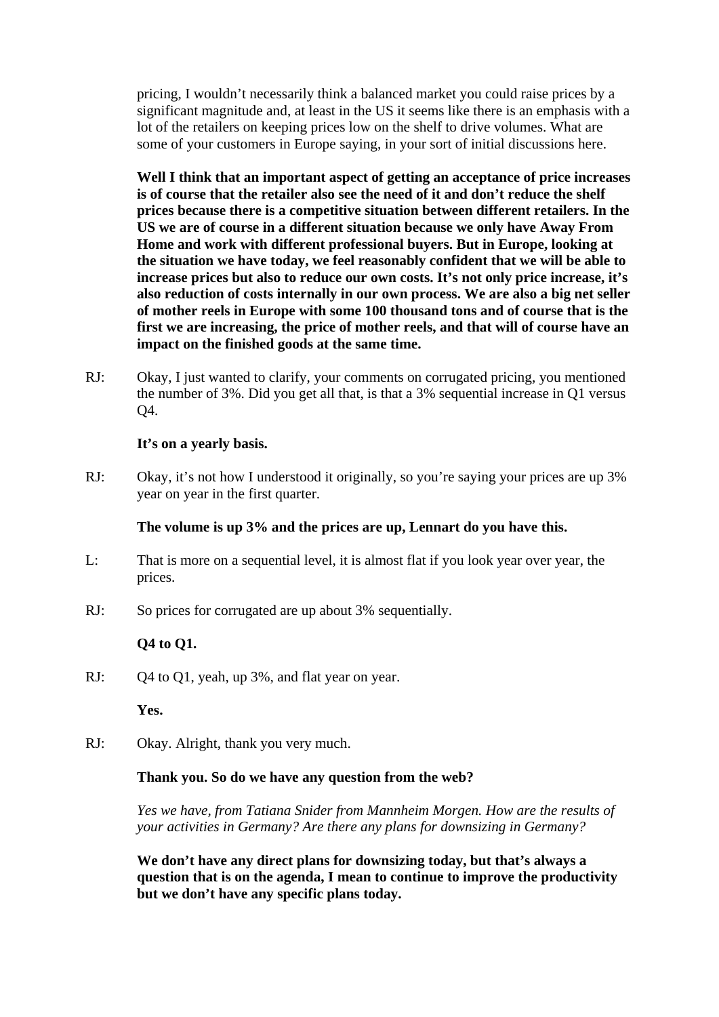pricing, I wouldn't necessarily think a balanced market you could raise prices by a significant magnitude and, at least in the US it seems like there is an emphasis with a lot of the retailers on keeping prices low on the shelf to drive volumes. What are some of your customers in Europe saying, in your sort of initial discussions here.

 **Well I think that an important aspect of getting an acceptance of price increases is of course that the retailer also see the need of it and don't reduce the shelf prices because there is a competitive situation between different retailers. In the US we are of course in a different situation because we only have Away From Home and work with different professional buyers. But in Europe, looking at the situation we have today, we feel reasonably confident that we will be able to increase prices but also to reduce our own costs. It's not only price increase, it's also reduction of costs internally in our own process. We are also a big net seller of mother reels in Europe with some 100 thousand tons and of course that is the first we are increasing, the price of mother reels, and that will of course have an impact on the finished goods at the same time.** 

RJ: Okay, I just wanted to clarify, your comments on corrugated pricing, you mentioned the number of 3%. Did you get all that, is that a 3% sequential increase in Q1 versus Q4.

### **It's on a yearly basis.**

RJ: Okay, it's not how I understood it originally, so you're saying your prices are up 3% year on year in the first quarter.

#### **The volume is up 3% and the prices are up, Lennart do you have this.**

- L: That is more on a sequential level, it is almost flat if you look year over year, the prices.
- RJ: So prices for corrugated are up about 3% sequentially.

### **Q4 to Q1.**

RJ: Q4 to Q1, yeah, up 3%, and flat year on year.

 **Yes.** 

RJ: Okay. Alright, thank you very much.

#### **Thank you. So do we have any question from the web?**

 *Yes we have, from Tatiana Snider from Mannheim Morgen. How are the results of your activities in Germany? Are there any plans for downsizing in Germany?* 

**We don't have any direct plans for downsizing today, but that's always a question that is on the agenda, I mean to continue to improve the productivity but we don't have any specific plans today.**